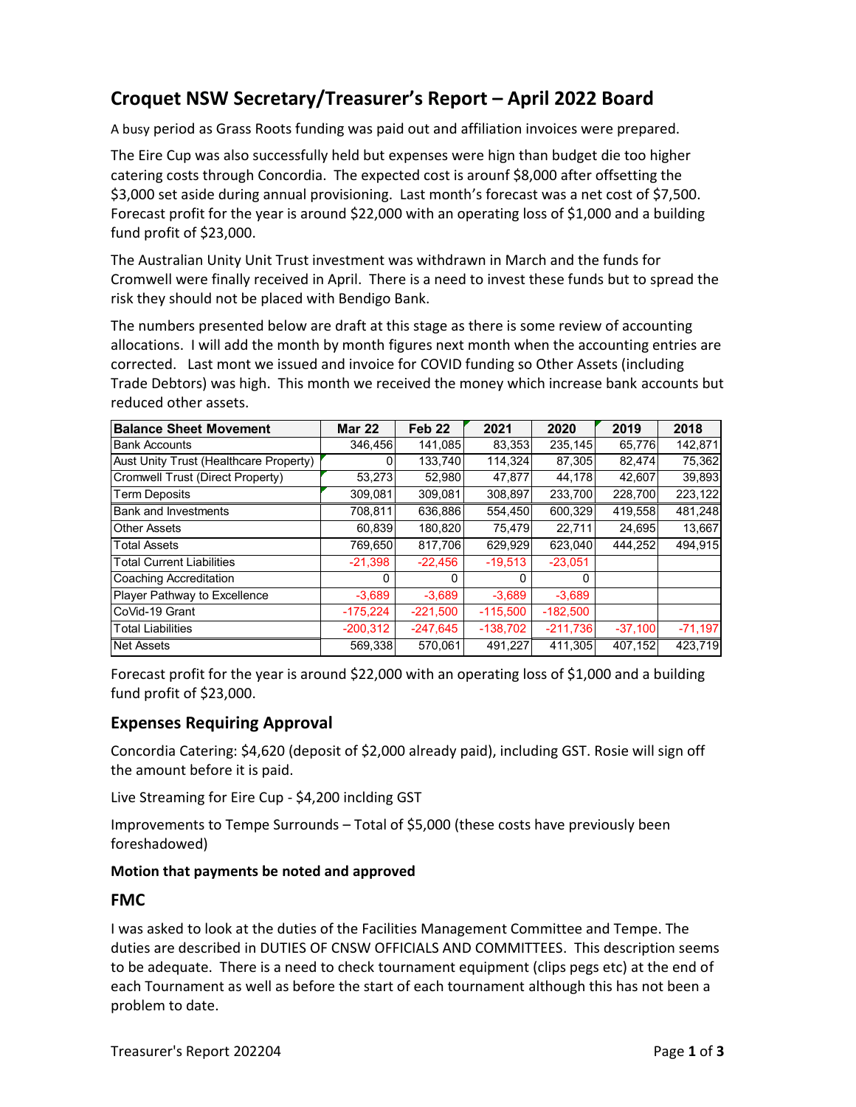# **Croquet NSW Secretary/Treasurer's Report – April 2022 Board**

A busy period as Grass Roots funding was paid out and affiliation invoices were prepared.

The Eire Cup was also successfully held but expenses were hign than budget die too higher catering costs through Concordia. The expected cost is arounf \$8,000 after offsetting the \$3,000 set aside during annual provisioning. Last month's forecast was a net cost of \$7,500. Forecast profit for the year is around \$22,000 with an operating loss of \$1,000 and a building fund profit of \$23,000.

The Australian Unity Unit Trust investment was withdrawn in March and the funds for Cromwell were finally received in April. There is a need to invest these funds but to spread the risk they should not be placed with Bendigo Bank.

The numbers presented below are draft at this stage as there is some review of accounting allocations. I will add the month by month figures next month when the accounting entries are corrected. Last mont we issued and invoice for COVID funding so Other Assets (including Trade Debtors) was high. This month we received the money which increase bank accounts but reduced other assets.

| <b>Balance Sheet Movement</b>          | <b>Mar 22</b> | Feb <sub>22</sub> | 2021       | 2020       | 2019      | 2018      |
|----------------------------------------|---------------|-------------------|------------|------------|-----------|-----------|
| <b>Bank Accounts</b>                   | 346,456       | 141,085           | 83,353     | 235,145    | 65,776    | 142,871   |
| Aust Unity Trust (Healthcare Property) |               | 133,740           | 114,324    | 87,305     | 82,474    | 75,362    |
| Cromwell Trust (Direct Property)       | 53,273        | 52,980            | 47,877     | 44,178     | 42,607    | 39,893    |
| <b>Term Deposits</b>                   | 309,081       | 309,081           | 308,897    | 233,700    | 228,700   | 223,122   |
| <b>Bank and Investments</b>            | 708,811       | 636,886           | 554,450    | 600,329    | 419,558   | 481,248   |
| <b>Other Assets</b>                    | 60,839        | 180,820           | 75,479     | 22,711     | 24,695    | 13,667    |
| <b>Total Assets</b>                    | 769.650       | 817,706           | 629.929    | 623,040    | 444,252   | 494,915   |
| <b>Total Current Liabilities</b>       | $-21,398$     | $-22,456$         | $-19,513$  | $-23,051$  |           |           |
| Coaching Accreditation                 | 0             | $\Omega$          | 0          | 0          |           |           |
| Player Pathway to Excellence           | $-3,689$      | $-3,689$          | $-3,689$   | $-3,689$   |           |           |
| CoVid-19 Grant                         | $-175,224$    | $-221,500$        | $-115,500$ | $-182,500$ |           |           |
| <b>Total Liabilities</b>               | $-200,312$    | $-247,645$        | $-138,702$ | $-211,736$ | $-37,100$ | $-71,197$ |
| <b>Net Assets</b>                      | 569,338       | 570,061           | 491,227    | 411,305    | 407,152   | 423,719   |

Forecast profit for the year is around \$22,000 with an operating loss of \$1,000 and a building fund profit of \$23,000.

### **Expenses Requiring Approval**

Concordia Catering: \$4,620 (deposit of \$2,000 already paid), including GST. Rosie will sign off the amount before it is paid.

Live Streaming for Eire Cup - \$4,200 inclding GST

Improvements to Tempe Surrounds – Total of \$5,000 (these costs have previously been foreshadowed)

#### **Motion that payments be noted and approved**

### **FMC**

I was asked to look at the duties of the Facilities Management Committee and Tempe. The duties are described in DUTIES OF CNSW OFFICIALS AND COMMITTEES. This description seems to be adequate. There is a need to check tournament equipment (clips pegs etc) at the end of each Tournament as well as before the start of each tournament although this has not been a problem to date.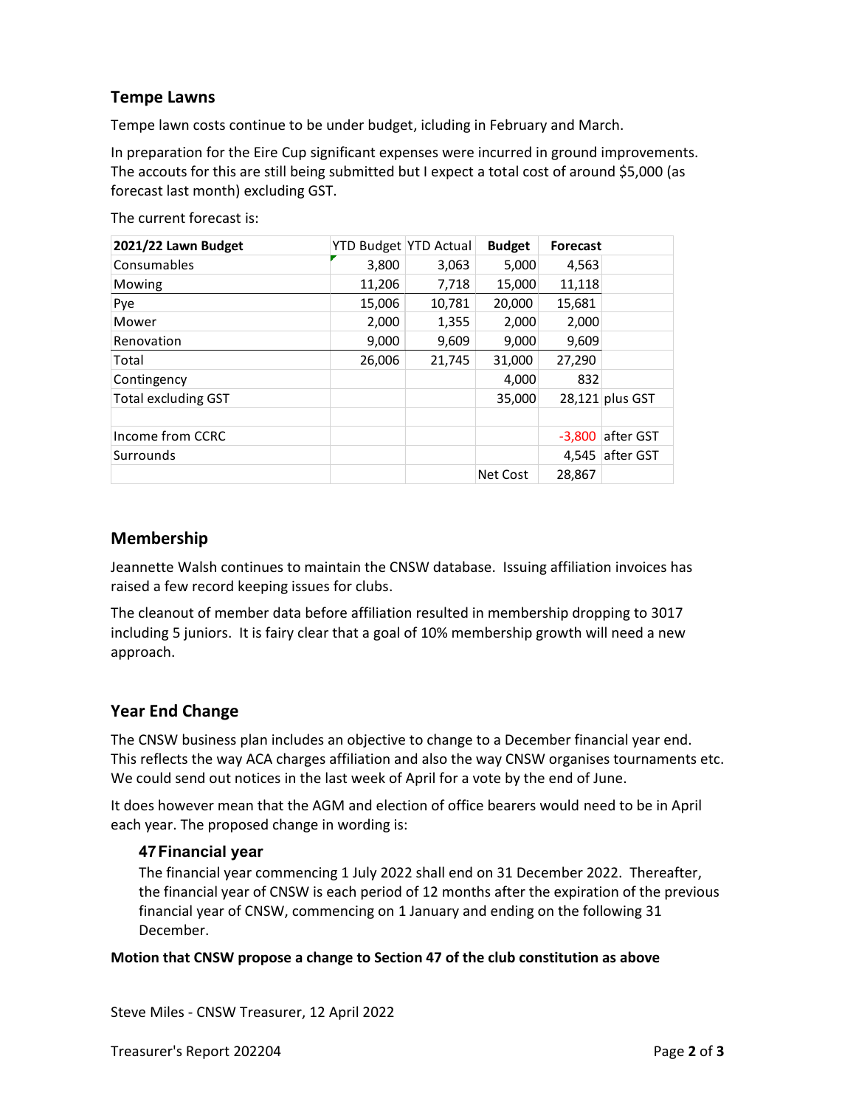# **Tempe Lawns**

Tempe lawn costs continue to be under budget, icluding in February and March.

In preparation for the Eire Cup significant expenses were incurred in ground improvements. The accouts for this are still being submitted but I expect a total cost of around \$5,000 (as forecast last month) excluding GST.

The current forecast is:

| 2021/22 Lawn Budget        | YTD Budget YTD Actual |        | <b>Budget</b>   | <b>Forecast</b> |                   |
|----------------------------|-----------------------|--------|-----------------|-----------------|-------------------|
| Consumables                | 3,800                 | 3,063  | 5,000           | 4,563           |                   |
| Mowing                     | 11,206                | 7,718  | 15,000          | 11,118          |                   |
| Pye                        | 15,006                | 10,781 | 20,000          | 15,681          |                   |
| Mower                      | 2,000                 | 1,355  | 2,000           | 2,000           |                   |
| Renovation                 | 9,000                 | 9,609  | 9,000           | 9,609           |                   |
| Total                      | 26,006                | 21,745 | 31,000          | 27,290          |                   |
| Contingency                |                       |        | 4,000           | 832             |                   |
| <b>Total excluding GST</b> |                       |        | 35,000          |                 | $28,121$ plus GST |
|                            |                       |        |                 |                 |                   |
| Income from CCRC           |                       |        |                 | $-3.800$        | after GST         |
| Surrounds                  |                       |        |                 | 4.545           | after GST         |
|                            |                       |        | <b>Net Cost</b> | 28,867          |                   |

# **Membership**

Jeannette Walsh continues to maintain the CNSW database. Issuing affiliation invoices has raised a few record keeping issues for clubs.

The cleanout of member data before affiliation resulted in membership dropping to 3017 including 5 juniors. It is fairy clear that a goal of 10% membership growth will need a new approach.

# **Year End Change**

The CNSW business plan includes an objective to change to a December financial year end. This reflects the way ACA charges affiliation and also the way CNSW organises tournaments etc. We could send out notices in the last week of April for a vote by the end of June.

It does however mean that the AGM and election of office bearers would need to be in April each year. The proposed change in wording is:

### **47Financial year**

The financial year commencing 1 July 2022 shall end on 31 December 2022. Thereafter, the financial year of CNSW is each period of 12 months after the expiration of the previous financial year of CNSW, commencing on 1 January and ending on the following 31 December.

**Motion that CNSW propose a change to Section 47 of the club constitution as above**

Steve Miles - CNSW Treasurer, 12 April 2022